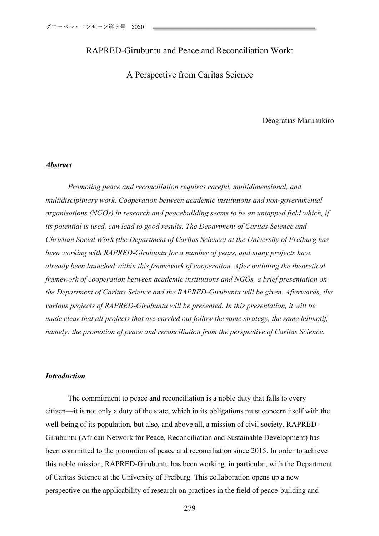## RAPRED-Girubuntu and Peace and Reconciliation Work:

A Perspective from Caritas Science

Déogratias Maruhukiro

#### *Abstract*

*Promoting peace and reconciliation requires careful, multidimensional, and multidisciplinary work. Cooperation between academic institutions and non-governmental organisations (NGOs) in research and peacebuilding seems to be an untapped field which, if its potential is used, can lead to good results. The Department of Caritas Science and Christian Social Work (the Department of Caritas Science) at the University of Freiburg has been working with RAPRED-Girubuntu for a number of years, and many projects have already been launched within this framework of cooperation. After outlining the theoretical framework of cooperation between academic institutions and NGOs, a brief presentation on the Department of Caritas Science and the RAPRED-Girubuntu will be given. Afterwards, the various projects of RAPRED-Girubuntu will be presented. In this presentation, it will be made clear that all projects that are carried out follow the same strategy, the same leitmotif, namely: the promotion of peace and reconciliation from the perspective of Caritas Science.*

### *Introduction*

The commitment to peace and reconciliation is a noble duty that falls to every citizen—it is not only a duty of the state, which in its obligations must concern itself with the well-being of its population, but also, and above all, a mission of civil society. RAPRED-Girubuntu (African Network for Peace, Reconciliation and Sustainable Development) has been committed to the promotion of peace and reconciliation since 2015. In order to achieve this noble mission, RAPRED-Girubuntu has been working, in particular, with the Department of Caritas Science at the University of Freiburg. This collaboration opens up a new perspective on the applicability of research on practices in the field of peace-building and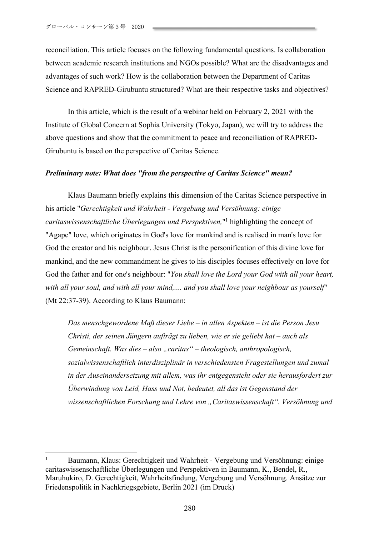reconciliation. This article focuses on the following fundamental questions. Is collaboration between academic research institutions and NGOs possible? What are the disadvantages and advantages of such work? How is the collaboration between the Department of Caritas Science and RAPRED-Girubuntu structured? What are their respective tasks and objectives?

In this article, which is the result of a webinar held on February 2, 2021 with the Institute of Global Concern at Sophia University (Tokyo, Japan), we will try to address the above questions and show that the commitment to peace and reconciliation of RAPRED-Girubuntu is based on the perspective of Caritas Science.

#### *Preliminary note: What does "from the perspective of Caritas Science" mean?*

Klaus Baumann briefly explains this dimension of the Caritas Science perspective in his article "*Gerechtigkeit und Wahrheit - Vergebung und Versöhnung: einige caritaswissenschaftliche Überlegungen und Perspektiven,*"1 highlighting the concept of "Agape" love, which originates in God's love for mankind and is realised in man's love for God the creator and his neighbour. Jesus Christ is the personification of this divine love for mankind, and the new commandment he gives to his disciples focuses effectively on love for God the father and for one's neighbour: "*You shall love the Lord your God with all your heart, with all your soul, and with all your mind,.... and you shall love your neighbour as yourself*" (Mt 22:37-39). According to Klaus Baumann:

*Das menschgewordene Maß dieser Liebe – in allen Aspekten – ist die Person Jesu Christi, der seinen Jüngern aufträgt zu lieben, wie er sie geliebt hat – auch als Gemeinschaft. Was dies – also "caritas" – theologisch, anthropologisch, sozialwissenschaftlich interdisziplinär in verschiedensten Fragestellungen und zumal in der Auseinandersetzung mit allem, was ihr entgegensteht oder sie herausfordert zur Überwindung von Leid, Hass und Not, bedeutet, all das ist Gegenstand der wissenschaftlichen Forschung und Lehre von "Caritaswissenschaft". Versöhnung und* 

<sup>&</sup>lt;sup>1</sup> Baumann, Klaus: Gerechtigkeit und Wahrheit - Vergebung und Versöhnung: einige caritaswissenschaftliche Überlegungen und Perspektiven in Baumann, K., Bendel, R., Maruhukiro, D. Gerechtigkeit, Wahrheitsfindung, Vergebung und Versöhnung. Ansätze zur Friedenspolitik in Nachkriegsgebiete, Berlin 2021 (im Druck)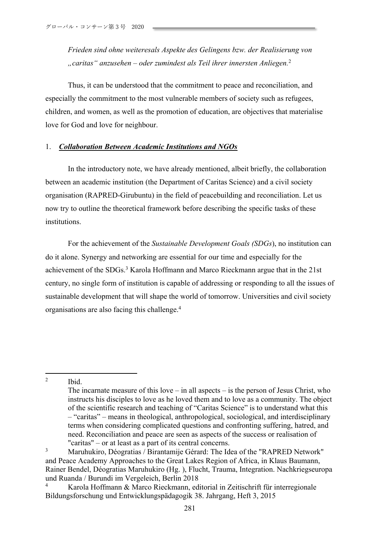*Frieden sind ohne weiteresals Aspekte des Gelingens bzw. der Realisierung von "caritas" anzusehen – oder zumindest als Teil ihrer innersten Anliegen.* 2

Thus, it can be understood that the commitment to peace and reconciliation, and especially the commitment to the most vulnerable members of society such as refugees, children, and women, as well as the promotion of education, are objectives that materialise love for God and love for neighbour.

## 1. *Collaboration Between Academic Institutions and NGOs*

In the introductory note, we have already mentioned, albeit briefly, the collaboration between an academic institution (the Department of Caritas Science) and a civil society organisation (RAPRED-Girubuntu) in the field of peacebuilding and reconciliation. Let us now try to outline the theoretical framework before describing the specific tasks of these institutions.

For the achievement of the *Sustainable Development Goals (SDGs*), no institution can do it alone. Synergy and networking are essential for our time and especially for the achievement of the SDGs.<sup>3</sup> Karola Hoffmann and Marco Rieckmann argue that in the 21st century, no single form of institution is capable of addressing or responding to all the issues of sustainable development that will shape the world of tomorrow. Universities and civil society organisations are also facing this challenge.4

<sup>2</sup> Ibid.

The incarnate measure of this love – in all aspects – is the person of Jesus Christ, who instructs his disciples to love as he loved them and to love as a community. The object of the scientific research and teaching of "Caritas Science" is to understand what this – "caritas" – means in theological, anthropological, sociological, and interdisciplinary terms when considering complicated questions and confronting suffering, hatred, and need. Reconciliation and peace are seen as aspects of the success or realisation of "caritas" – or at least as a part of its central concerns.

<sup>3</sup> Maruhukiro, Déogratias / Birantamije Gérard: The Idea of the "RAPRED Network" and Peace Academy Approaches to the Great Lakes Region of Africa, in Klaus Baumann, Rainer Bendel, Déogratias Maruhukiro (Hg. ), Flucht, Trauma, Integration. Nachkriegseuropa und Ruanda / Burundi im Vergeleich, Berlin 2018

<sup>4</sup> Karola Hoffmann & Marco Rieckmann, editorial in Zeitischrift für interregionale Bildungsforschung und Entwicklungspädagogik 38. Jahrgang, Heft 3, 2015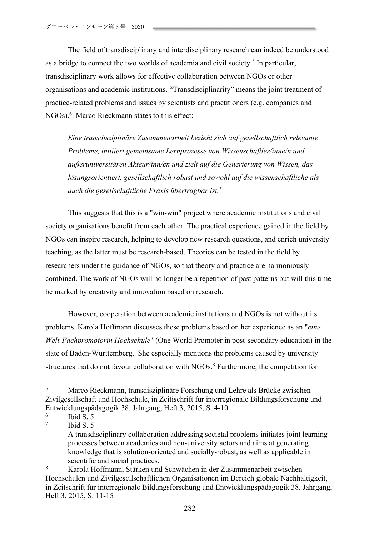The field of transdisciplinary and interdisciplinary research can indeed be understood as a bridge to connect the two worlds of academia and civil society.<sup>5</sup> In particular, transdisciplinary work allows for effective collaboration between NGOs or other organisations and academic institutions. "Transdisciplinarity" means the joint treatment of practice-related problems and issues by scientists and practitioners (e.g. companies and NGOs).<sup>6</sup> Marco Rieckmann states to this effect:

*Eine transdisziplinäre Zusammenarbeit bezieht sich auf gesellschaftlich relevante Probleme, initiiert gemeinsame Lernprozesse von Wissenschaftler/inne/n und außeruniversitären Akteur/inn/en und zielt auf die Generierung von Wissen, das lösungsorientiert, gesellschaftlich robust und sowohl auf die wissenschaftliche als auch die gesellschaftliche Praxis übertragbar ist.7*

This suggests that this is a "win-win" project where academic institutions and civil society organisations benefit from each other. The practical experience gained in the field by NGOs can inspire research, helping to develop new research questions, and enrich university teaching, as the latter must be research-based. Theories can be tested in the field by researchers under the guidance of NGOs, so that theory and practice are harmoniously combined. The work of NGOs will no longer be a repetition of past patterns but will this time be marked by creativity and innovation based on research.

However, cooperation between academic institutions and NGOs is not without its problems. Karola Hoffmann discusses these problems based on her experience as an "*eine Welt-Fachpromotorin Hochschule*" (One World Promoter in post-secondary education) in the state of Baden-Württemberg. She especially mentions the problems caused by university structures that do not favour collaboration with NGOs.<sup>8</sup> Furthermore, the competition for

<sup>5</sup> Marco Rieckmann, transdisziplinäre Forschung und Lehre als Brücke zwischen Zivilgesellschaft und Hochschule, in Zeitischrift für interregionale Bildungsforschung und Entwicklungspädagogik 38. Jahrgang, Heft 3, 2015, S. 4-10

 $\frac{6}{7}$  Ibid S. 5

Ibid  $S. 5$ 

A transdisciplinary collaboration addressing societal problems initiates joint learning processes between academics and non-university actors and aims at generating knowledge that is solution-oriented and socially-robust, as well as applicable in scientific and social practices.

<sup>8</sup> Karola Hoffmann, Stärken und Schwächen in der Zusammenarbeit zwischen Hochschulen und Zivilgesellschaftlichen Organisationen im Bereich globale Nachhaltigkeit, in Zeitschrift für interregionale Bildungsforschung und Entwicklungspädagogik 38. Jahrgang, Heft 3, 2015, S. 11-15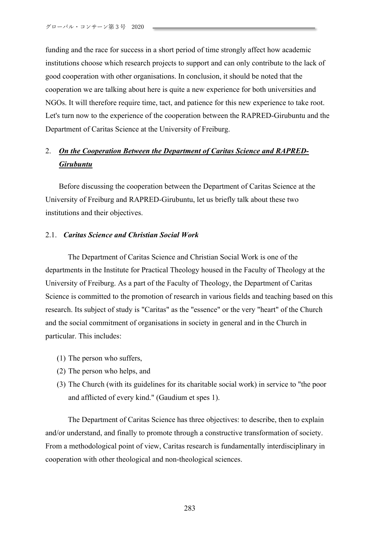funding and the race for success in a short period of time strongly affect how academic institutions choose which research projects to support and can only contribute to the lack of good cooperation with other organisations. In conclusion, it should be noted that the cooperation we are talking about here is quite a new experience for both universities and NGOs. It will therefore require time, tact, and patience for this new experience to take root. Let's turn now to the experience of the cooperation between the RAPRED-Girubuntu and the Department of Caritas Science at the University of Freiburg.

# 2. *On the Cooperation Between the Department of Caritas Science and RAPRED-Girubuntu*

Before discussing the cooperation between the Department of Caritas Science at the University of Freiburg and RAPRED-Girubuntu, let us briefly talk about these two institutions and their objectives.

#### 2.1. *Caritas Science and Christian Social Work*

The Department of Caritas Science and Christian Social Work is one of the departments in the Institute for Practical Theology housed in the Faculty of Theology at the University of Freiburg. As a part of the Faculty of Theology, the Department of Caritas Science is committed to the promotion of research in various fields and teaching based on this research. Its subject of study is "Caritas" as the "essence" or the very "heart" of the Church and the social commitment of organisations in society in general and in the Church in particular. This includes:

- (1) The person who suffers,
- (2) The person who helps, and
- (3) The Church (with its guidelines for its charitable social work) in service to "the poor and afflicted of every kind." (Gaudium et spes 1).

The Department of Caritas Science has three objectives: to describe, then to explain and/or understand, and finally to promote through a constructive transformation of society. From a methodological point of view, Caritas research is fundamentally interdisciplinary in cooperation with other theological and non-theological sciences.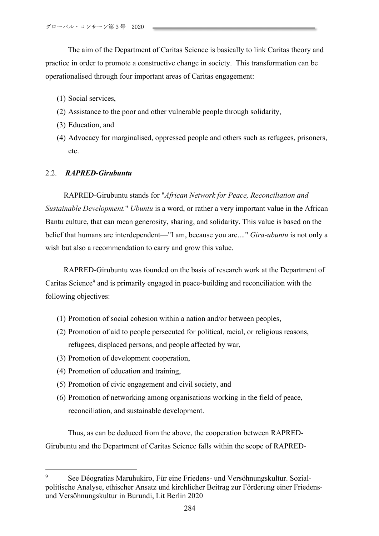The aim of the Department of Caritas Science is basically to link Caritas theory and practice in order to promote a constructive change in society. This transformation can be operationalised through four important areas of Caritas engagement:

- (1) Social services,
- (2) Assistance to the poor and other vulnerable people through solidarity,
- (3) Education, and
- (4) Advocacy for marginalised, oppressed people and others such as refugees, prisoners, etc.

#### 2.2. *RAPRED-Girubuntu*

RAPRED-Girubuntu stands for "*African Network for Peace, Reconciliation and Sustainable Development.*" *Ubuntu* is a word, or rather a very important value in the African Bantu culture, that can mean generosity, sharing, and solidarity. This value is based on the belief that humans are interdependent—"I am, because you are...*.*" *Gira-ubuntu* is not only a wish but also a recommendation to carry and grow this value.

RAPRED-Girubuntu was founded on the basis of research work at the Department of Caritas Science<sup>9</sup> and is primarily engaged in peace-building and reconciliation with the following objectives:

- (1) Promotion of social cohesion within a nation and/or between peoples,
- (2) Promotion of aid to people persecuted for political, racial, or religious reasons, refugees, displaced persons, and people affected by war,
- (3) Promotion of development cooperation,
- (4) Promotion of education and training,
- (5) Promotion of civic engagement and civil society, and
- (6) Promotion of networking among organisations working in the field of peace, reconciliation, and sustainable development.

Thus, as can be deduced from the above, the cooperation between RAPRED-Girubuntu and the Department of Caritas Science falls within the scope of RAPRED-

<sup>9</sup> See Déogratias Maruhukiro, Für eine Friedens- und Versöhnungskultur. Sozialpolitische Analyse, ethischer Ansatz und kirchlicher Beitrag zur Förderung einer Friedensund Versöhnungskultur in Burundi, Lit Berlin 2020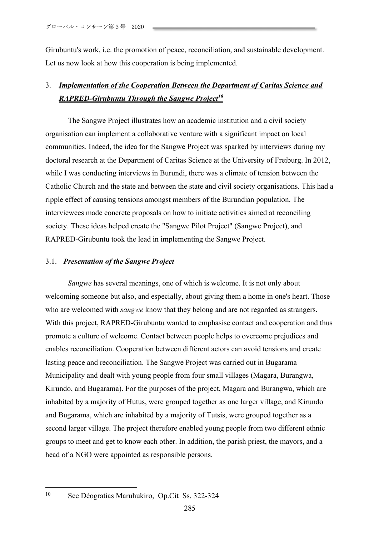Girubuntu's work, i.e. the promotion of peace, reconciliation, and sustainable development. Let us now look at how this cooperation is being implemented.

# 3. *Implementation of the Cooperation Between the Department of Caritas Science and RAPRED-Girubuntu Through the Sangwe Project10*

The Sangwe Project illustrates how an academic institution and a civil society organisation can implement a collaborative venture with a significant impact on local communities. Indeed, the idea for the Sangwe Project was sparked by interviews during my doctoral research at the Department of Caritas Science at the University of Freiburg. In 2012, while I was conducting interviews in Burundi, there was a climate of tension between the Catholic Church and the state and between the state and civil society organisations. This had a ripple effect of causing tensions amongst members of the Burundian population. The interviewees made concrete proposals on how to initiate activities aimed at reconciling society. These ideas helped create the "Sangwe Pilot Project" (Sangwe Project), and RAPRED-Girubuntu took the lead in implementing the Sangwe Project.

## 3.1. *Presentation of the Sangwe Project*

*Sangwe* has several meanings, one of which is welcome. It is not only about welcoming someone but also, and especially, about giving them a home in one's heart. Those who are welcomed with *sangwe* know that they belong and are not regarded as strangers. With this project, RAPRED-Girubuntu wanted to emphasise contact and cooperation and thus promote a culture of welcome. Contact between people helps to overcome prejudices and enables reconciliation. Cooperation between different actors can avoid tensions and create lasting peace and reconciliation. The Sangwe Project was carried out in Bugarama Municipality and dealt with young people from four small villages (Magara, Burangwa, Kirundo, and Bugarama). For the purposes of the project, Magara and Burangwa, which are inhabited by a majority of Hutus, were grouped together as one larger village, and Kirundo and Bugarama, which are inhabited by a majority of Tutsis, were grouped together as a second larger village. The project therefore enabled young people from two different ethnic groups to meet and get to know each other. In addition, the parish priest, the mayors, and a head of a NGO were appointed as responsible persons.

<sup>10</sup> See Déogratias Maruhukiro, Op.Cit Ss. 322-324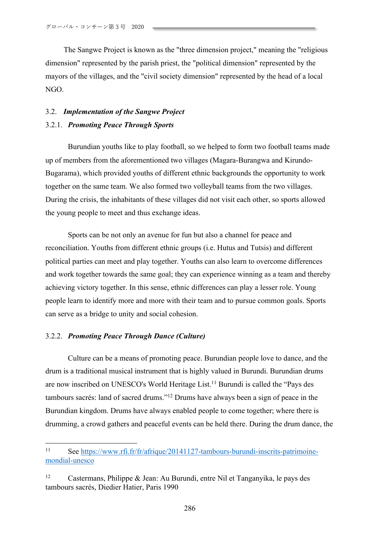The Sangwe Project is known as the "three dimension project," meaning the "religious dimension" represented by the parish priest, the "political dimension" represented by the mayors of the villages, and the "civil society dimension" represented by the head of a local NGO.

## 3.2. *Implementation of the Sangwe Project* 3.2.1. *Promoting Peace Through Sports*

Burundian youths like to play football, so we helped to form two football teams made up of members from the aforementioned two villages (Magara-Burangwa and Kirundo-Bugarama), which provided youths of different ethnic backgrounds the opportunity to work together on the same team. We also formed two volleyball teams from the two villages. During the crisis, the inhabitants of these villages did not visit each other, so sports allowed the young people to meet and thus exchange ideas.

Sports can be not only an avenue for fun but also a channel for peace and reconciliation. Youths from different ethnic groups (i.e. Hutus and Tutsis) and different political parties can meet and play together. Youths can also learn to overcome differences and work together towards the same goal; they can experience winning as a team and thereby achieving victory together. In this sense, ethnic differences can play a lesser role. Young people learn to identify more and more with their team and to pursue common goals. Sports can serve as a bridge to unity and social cohesion.

## 3.2.2. *Promoting Peace Through Dance (Culture)*

Culture can be a means of promoting peace. Burundian people love to dance, and the drum is a traditional musical instrument that is highly valued in Burundi. Burundian drums are now inscribed on UNESCO's World Heritage List.<sup>11</sup> Burundi is called the "Pays des tambours sacrés: land of sacred drums."12 Drums have always been a sign of peace in the Burundian kingdom. Drums have always enabled people to come together; where there is drumming, a crowd gathers and peaceful events can be held there. During the drum dance, the

<sup>11</sup> See https://www.rfi.fr/fr/afrique/20141127-tambours-burundi-inscrits-patrimoinemondial-unesco

<sup>&</sup>lt;sup>12</sup> Castermans, Philippe & Jean: Au Burundi, entre Nil et Tanganyika, le pays des tambours sacrés, Diedier Hatier, Paris 1990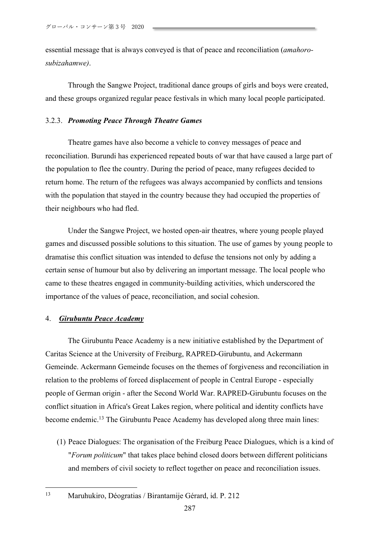essential message that is always conveyed is that of peace and reconciliation (*amahorosubizahamwe)*.

Through the Sangwe Project, traditional dance groups of girls and boys were created, and these groups organized regular peace festivals in which many local people participated.

#### 3.2.3. *Promoting Peace Through Theatre Games*

Theatre games have also become a vehicle to convey messages of peace and reconciliation. Burundi has experienced repeated bouts of war that have caused a large part of the population to flee the country. During the period of peace, many refugees decided to return home. The return of the refugees was always accompanied by conflicts and tensions with the population that stayed in the country because they had occupied the properties of their neighbours who had fled.

Under the Sangwe Project, we hosted open-air theatres, where young people played games and discussed possible solutions to this situation. The use of games by young people to dramatise this conflict situation was intended to defuse the tensions not only by adding a certain sense of humour but also by delivering an important message. The local people who came to these theatres engaged in community-building activities, which underscored the importance of the values of peace, reconciliation, and social cohesion.

## 4. *Girubuntu Peace Academy*

The Girubuntu Peace Academy is a new initiative established by the Department of Caritas Science at the University of Freiburg, RAPRED-Girubuntu, and Ackermann Gemeinde. Ackermann Gemeinde focuses on the themes of forgiveness and reconciliation in relation to the problems of forced displacement of people in Central Europe - especially people of German origin - after the Second World War. RAPRED-Girubuntu focuses on the conflict situation in Africa's Great Lakes region, where political and identity conflicts have become endemic.<sup>13</sup> The Girubuntu Peace Academy has developed along three main lines:

(1) Peace Dialogues: The organisation of the Freiburg Peace Dialogues, which is a kind of "*Forum politicum*" that takes place behind closed doors between different politicians and members of civil society to reflect together on peace and reconciliation issues.

<sup>13</sup> Maruhukiro, Déogratias / Birantamije Gérard, id. P. 212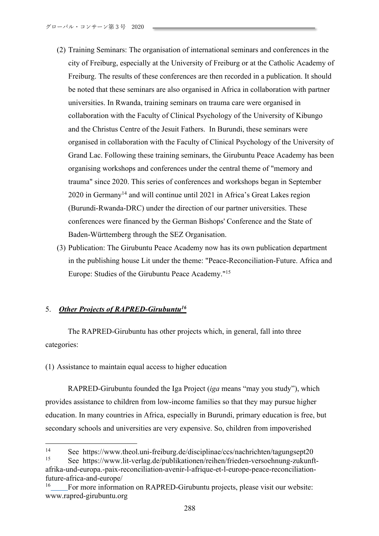- (2) Training Seminars: The organisation of international seminars and conferences in the city of Freiburg, especially at the University of Freiburg or at the Catholic Academy of Freiburg. The results of these conferences are then recorded in a publication. It should be noted that these seminars are also organised in Africa in collaboration with partner universities. In Rwanda, training seminars on trauma care were organised in collaboration with the Faculty of Clinical Psychology of the University of Kibungo and the Christus Centre of the Jesuit Fathers. In Burundi, these seminars were organised in collaboration with the Faculty of Clinical Psychology of the University of Grand Lac. Following these training seminars, the Girubuntu Peace Academy has been organising workshops and conferences under the central theme of "memory and trauma" since 2020. This series of conferences and workshops began in September 2020 in Germany14 and will continue until 2021 in Africa's Great Lakes region (Burundi-Rwanda-DRC) under the direction of our partner universities. These conferences were financed by the German Bishops' Conference and the State of Baden-Württemberg through the SEZ Organisation.
- (3) Publication: The Girubuntu Peace Academy now has its own publication department in the publishing house Lit under the theme: "Peace-Reconciliation-Future. Africa and Europe: Studies of the Girubuntu Peace Academy."15

## 5. *Other Projects of RAPRED-Girubuntu16*

The RAPRED-Girubuntu has other projects which, in general, fall into three categories:

(1) Assistance to maintain equal access to higher education

RAPRED-Girubuntu founded the Iga Project (*iga* means "may you study"), which provides assistance to children from low-income families so that they may pursue higher education. In many countries in Africa, especially in Burundi, primary education is free, but secondary schools and universities are very expensive. So, children from impoverished

<sup>14</sup> See https://www.theol.uni-freiburg.de/disciplinae/ccs/nachrichten/tagungsept20<br>15 See https://www.lit.verleg.de/publikationen/reiben/frieden.verseehnung.zukunft <sup>15</sup> See https://www.lit-verlag.de/publikationen/reihen/frieden-versoehnung-zukunft-

afrika-und-europa.-paix-reconciliation-avenir-l-afrique-et-l-europe-peace-reconciliationfuture-africa-and-europe/

<sup>&</sup>lt;sup>16</sup> For more information on RAPRED-Girubuntu projects, please visit our website: www.rapred-girubuntu.org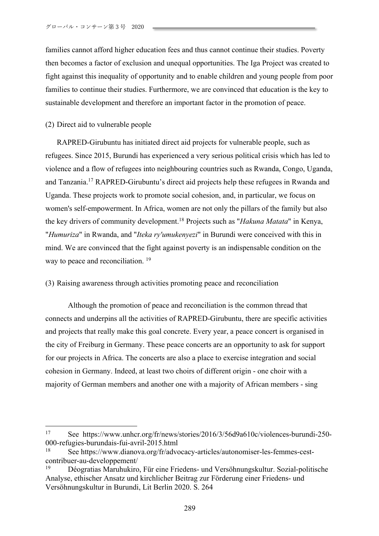families cannot afford higher education fees and thus cannot continue their studies. Poverty then becomes a factor of exclusion and unequal opportunities. The Iga Project was created to fight against this inequality of opportunity and to enable children and young people from poor families to continue their studies. Furthermore, we are convinced that education is the key to sustainable development and therefore an important factor in the promotion of peace.

(2) Direct aid to vulnerable people

RAPRED-Girubuntu has initiated direct aid projects for vulnerable people, such as refugees. Since 2015, Burundi has experienced a very serious political crisis which has led to violence and a flow of refugees into neighbouring countries such as Rwanda, Congo, Uganda, and Tanzania.17 RAPRED-Girubuntu's direct aid projects help these refugees in Rwanda and Uganda. These projects work to promote social cohesion, and, in particular, we focus on women's self-empowerment. In Africa, women are not only the pillars of the family but also the key drivers of community development.18 Projects such as "*Hakuna Matata*" in Kenya, "*Humuriza*" in Rwanda, and "*Iteka ry'umukenyezi*" in Burundi were conceived with this in mind. We are convinced that the fight against poverty is an indispensable condition on the way to peace and reconciliation.<sup>19</sup>

## (3) Raising awareness through activities promoting peace and reconciliation

Although the promotion of peace and reconciliation is the common thread that connects and underpins all the activities of RAPRED-Girubuntu, there are specific activities and projects that really make this goal concrete. Every year, a peace concert is organised in the city of Freiburg in Germany. These peace concerts are an opportunity to ask for support for our projects in Africa. The concerts are also a place to exercise integration and social cohesion in Germany. Indeed, at least two choirs of different origin - one choir with a majority of German members and another one with a majority of African members - sing

<sup>17</sup> See https://www.unhcr.org/fr/news/stories/2016/3/56d9a610c/violences-burundi-250- 000-refugies-burundais-fui-avril-2015.html

<sup>18</sup> See https://www.dianova.org/fr/advocacy-articles/autonomiser-les-femmes-cestcontribuer-au-developpement/

<sup>19</sup> Déogratias Maruhukiro, Für eine Friedens- und Versöhnungskultur. Sozial-politische Analyse, ethischer Ansatz und kirchlicher Beitrag zur Förderung einer Friedens- und Versöhnungskultur in Burundi, Lit Berlin 2020. S. 264